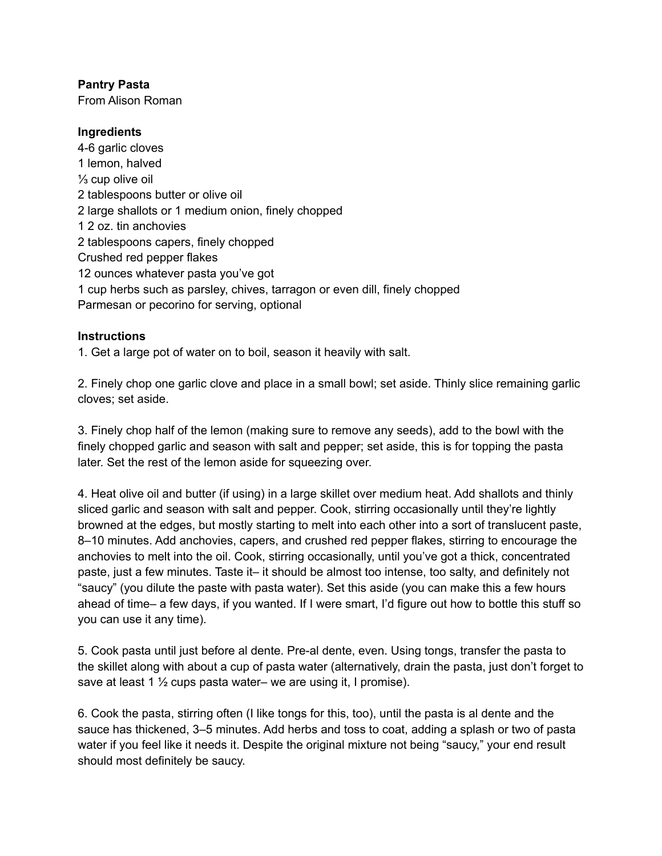## **Pantry Pasta**

From Alison Roman

## **Ingredients**

4-6 garlic cloves lemon, halved ⅓ cup olive oil tablespoons butter or olive oil large shallots or 1 medium onion, finely chopped 2 oz. tin anchovies tablespoons capers, finely chopped Crushed red pepper flakes ounces whatever pasta you've got cup herbs such as parsley, chives, tarragon or even dill, finely chopped Parmesan or pecorino for serving, optional

## **Instructions**

1. Get a large pot of water on to boil, season it heavily with salt.

2. Finely chop one garlic clove and place in a small bowl; set aside. Thinly slice remaining garlic cloves; set aside.

3. Finely chop half of the lemon (making sure to remove any seeds), add to the bowl with the finely chopped garlic and season with salt and pepper; set aside, this is for topping the pasta later. Set the rest of the lemon aside for squeezing over.

4. Heat olive oil and butter (if using) in a large skillet over medium heat. Add shallots and thinly sliced garlic and season with salt and pepper. Cook, stirring occasionally until they're lightly browned at the edges, but mostly starting to melt into each other into a sort of translucent paste, 8–10 minutes. Add anchovies, capers, and crushed red pepper flakes, stirring to encourage the anchovies to melt into the oil. Cook, stirring occasionally, until you've got a thick, concentrated paste, just a few minutes. Taste it– it should be almost too intense, too salty, and definitely not "saucy" (you dilute the paste with pasta water). Set this aside (you can make this a few hours ahead of time– a few days, if you wanted. If I were smart, I'd figure out how to bottle this stuff so you can use it any time).

5. Cook pasta until just before al dente. Pre-al dente, even. Using tongs, transfer the pasta to the skillet along with about a cup of pasta water (alternatively, drain the pasta, just don't forget to save at least 1  $\frac{1}{2}$  cups pasta water– we are using it, I promise).

6. Cook the pasta, stirring often (I like tongs for this, too), until the pasta is al dente and the sauce has thickened, 3–5 minutes. Add herbs and toss to coat, adding a splash or two of pasta water if you feel like it needs it. Despite the original mixture not being "saucy," your end result should most definitely be saucy.